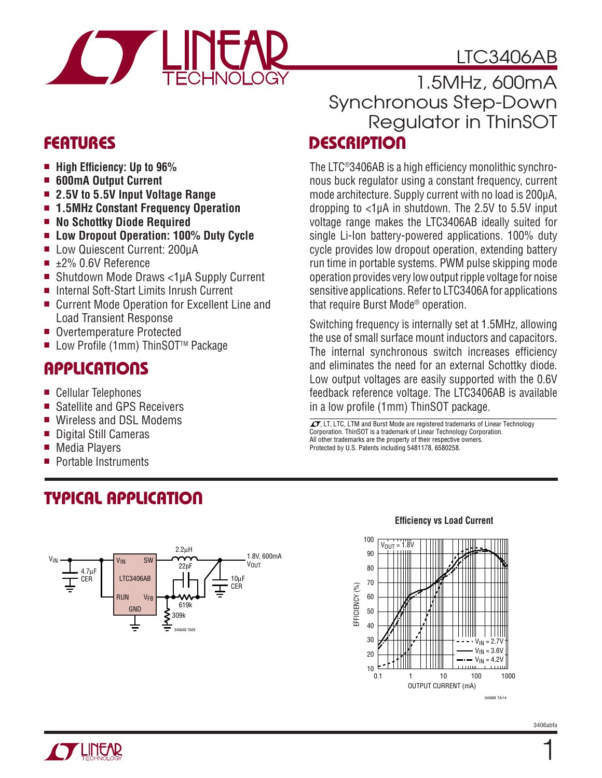# LTC3406AB



### **FEATURES**

- High Efficiency: Up to 96%
- **600mA Output Current**
- **2.5V to 5.5V Input Voltage Range**
- **1.5MHz Constant Frequency Operation**
- **No Schottky Diode Required**
- **Low Dropout Operation: 100% Duty Cycle**
- Low Quiescent Current: 200µA
- ±2% 0.6V Reference
- Shutdown Mode Draws <1µA Supply Current
- Internal Soft-Start Limits Inrush Current
- Current Mode Operation for Excellent Line and Load Transient Response
- Overtemperature Protected
- Low Profile (1mm) ThinSOT<sup>™</sup> Package

### **APPLICATIONS**

- Cellular Telephones
- Satellite and GPS Receivers
- Wireless and DSL Modems
- Digital Still Cameras
- Media Players
- Portable Instruments

### **TYPICAL APPLICATION**



### **DESCRIPTION** 1.5MHz, 600mA Synchronous Step-Down Regulator in ThinSOT

The LTC $^{\circ}$ 3406AB is a high efficiency monolithic synchronous buck regulator using a constant frequency, current mode architecture. Supply current with no load is 200μA, dropping to <1μA in shutdown. The 2.5V to 5.5V input voltage range makes the LTC3406AB ideally suited for single Li-Ion battery-powered applications. 100% duty cycle provides low dropout operation, extending battery run time in portable systems. PWM pulse skipping mode operation provides very low output ripple voltage for noise sensitive applications. Refer to LTC3406A for applications that require Burst Mode® operation.

Switching frequency is internally set at 1.5MHz, allowing the use of small surface mount inductors and capacitors. The internal synchronous switch increases efficiency and eliminates the need for an external Schottky diode. Low output voltages are easily supported with the 0.6V feedback reference voltage. The LTC3406AB is available in a low profile (1mm) ThinSOT package.

 $\overline{\mathcal{I}\mathcal{I}}$ , LT, LTC, LTM and Burst Mode are registered trademarks of Linear Technology Corporation. ThinSOT is a trademark of Linear Technology Corporation. All other trademarks are the property of their respective owners. Protected by U.S. Patents including 5481178, 6580258.



#### **Effi ciency vs Load Current**

1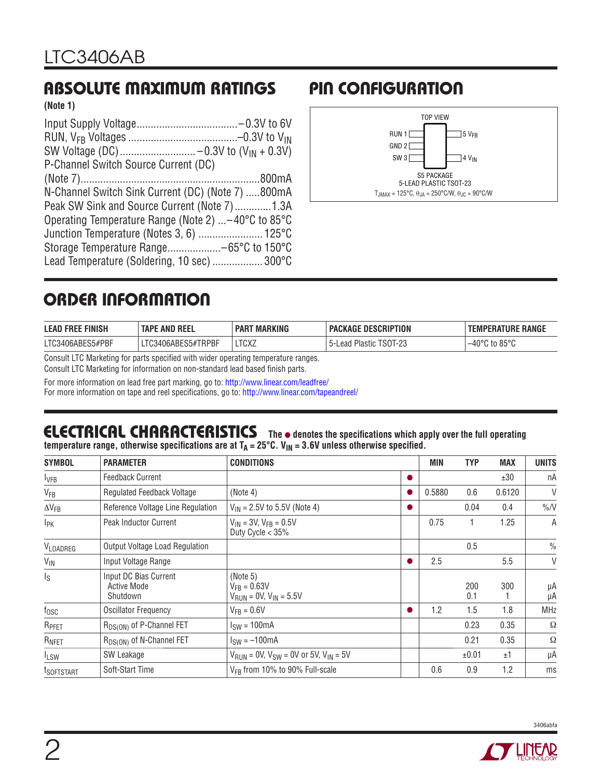### **ABSOLUTE MAXIMUM RATINGS PIN CONFIGURATION**

**(Note 1)**

| P-Channel Switch Source Current (DC)                       |
|------------------------------------------------------------|
|                                                            |
| N-Channel Switch Sink Current (DC) (Note 7) 800mA          |
| Peak SW Sink and Source Current (Note 7)1.3A               |
| Operating Temperature Range (Note 2) $\dots$ –40°C to 85°C |
| Junction Temperature (Notes 3, 6)  125°C                   |
|                                                            |
| Lead Temperature (Soldering, 10 sec)  300°C                |



### **ORDER INFORMATION**

| <b>LEAD FREE FINISH</b> | <b>TAPE AND REEL</b> | <b>MARKING</b><br><b>PAR</b> | <b>PACKAGE DESCRIPTION</b> | <b>TEMPERATURE RANGE</b> |
|-------------------------|----------------------|------------------------------|----------------------------|--------------------------|
| LTC3406ABES5#PBF        | LTC3406ABES5#TRPBF   | <b>LTCXZ</b>                 | l Plastic TSOT-23<br>Lead  | to 85°C<br>–40°∩         |

Consult LTC Marketing for parts specified with wider operating temperature ranges.

Consult LTC Marketing for information on non-standard lead based finish parts.

For more information on lead free part marking, go to:<http://www.linear.com/leadfree/>

For more information on tape and reel specifications, go to: [http://www.linear.com/tapeandreel/](http://www.linear.com/leadfree/)

#### **ELECTRICAL CHARACTERISTICS** The  $\bullet$  denotes the specifications which apply over the full operating temperature range, otherwise specifications are at T<sub>A</sub> = 25°C. V<sub>IN</sub> = 3.6V unless otherwise specified.

| <b>SYMBOL</b>           | <b>PARAMETER</b>                                        | <b>CONDITIONS</b>                                                         | MIN    | <b>TYP</b> | <b>MAX</b> | <b>UNITS</b>  |
|-------------------------|---------------------------------------------------------|---------------------------------------------------------------------------|--------|------------|------------|---------------|
| <b>I</b> VFB            | <b>Feedback Current</b>                                 |                                                                           |        |            | ±30        | пA            |
| <b>V<sub>FB</sub></b>   | Regulated Feedback Voltage                              | (Note 4)                                                                  | 0.5880 | 0.6        | 0.6120     | V             |
| $\Delta V_{FB}$         | Reference Voltage Line Regulation                       | $V_{IN}$ = 2.5V to 5.5V (Note 4)                                          |        | 0.04       | 0.4        | $\%N$         |
| <b>IPK</b>              | <b>Peak Inductor Current</b>                            | $V_{IN}$ = 3V, $V_{FB}$ = 0.5V<br>Duty Cycle $<$ 35%                      | 0.75   |            | 1.25       | A             |
| VLOADREG                | Output Voltage Load Regulation                          |                                                                           |        | 0.5        |            | $\frac{0}{0}$ |
| $V_{IN}$                | Input Voltage Range                                     |                                                                           | 2.5    |            | 5.5        | V             |
| $\mathsf{I}_\mathsf{S}$ | Input DC Bias Current<br><b>Active Mode</b><br>Shutdown | (Note $5$ )<br>$V_{FB} = 0.63V$<br>$V_{RUN} = 0V, V_{IN} = 5.5V$          |        | 200<br>0.1 | 300        | μA<br>μA      |
| $f_{\rm OSC}$           | <b>Oscillator Frequency</b>                             | $V_{FR} = 0.6 V$                                                          | 1.2    | 1.5        | 1.8        | <b>MHz</b>    |
| R <sub>PFET</sub>       | R <sub>DS(ON)</sub> of P-Channel FET                    | $ISW = 100mA$                                                             |        | 0.23       | 0.35       | Ω             |
| RNFET                   | R <sub>DS(ON)</sub> of N-Channel FET                    | $ISW = -100mA$                                                            |        | 0.21       | 0.35       | Ω             |
| <sup>I</sup> LSW        | SW Leakage                                              | $V_{\text{RUN}} = 0$ V, $V_{\text{SW}} = 0$ V or 5V, $V_{\text{IN}} = 5V$ |        | ±0.01      | ±1         | μA            |
| <sup>t</sup> SOFTSTART  | Soft-Start Time                                         | V <sub>FR</sub> from 10% to 90% Full-scale                                | 0.6    | 0.9        | 1.2        | ms            |

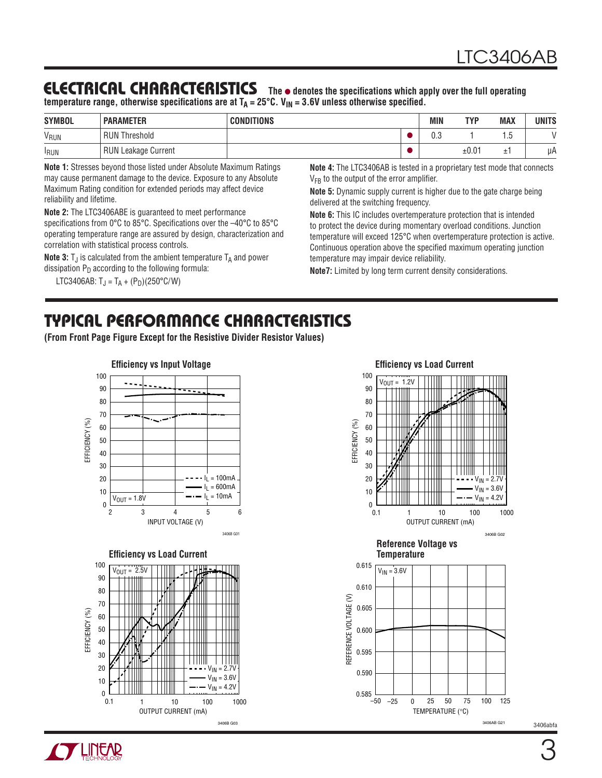### **ELECTRICAL CHARACTERISTICS** The  $\bullet$  denotes the specifications which apply over the full operating

temperature range, otherwise specifications are at T<sub>A</sub> = 25°C. V<sub>IN</sub> = 3.6V unless otherwise specified.

| <b>SYMBOL</b>    | <b>PARAMETER</b>           | <b>CONDITIONS</b> | <b>MIN</b> | <b>TYP</b> | <b>MAX</b> | UNITS |
|------------------|----------------------------|-------------------|------------|------------|------------|-------|
| V <sub>RUN</sub> | <b>RUN Threshold</b>       |                   | 0.3        |            | œ<br>ن.    |       |
| <b>IRUN</b>      | <b>RUN Leakage Current</b> |                   |            | ±0.01      | -          | иA    |

**Note 1:** Stresses beyond those listed under Absolute Maximum Ratings may cause permanent damage to the device. Exposure to any Absolute Maximum Rating condition for extended periods may affect device reliability and lifetime.

**Note 2:** The LTC3406ABE is guaranteed to meet performance specifications from  $0^{\circ}$ C to 85 $^{\circ}$ C. Specifications over the  $-40^{\circ}$ C to 85 $^{\circ}$ C operating temperature range are assured by design, characterization and correlation with statistical process controls.

**Note 3:**  $T_J$  is calculated from the ambient temperature  $T_A$  and power dissipation  $P_D$  according to the following formula:

LTC3406AB:  $T_J = T_A + (P_D)(250^{\circ}C/W)$ 

**Note 4:** The LTC3406AB is tested in a proprietary test mode that connects V<sub>FB</sub> to the output of the error amplifier.

**Note 5:** Dynamic supply current is higher due to the gate charge being delivered at the switching frequency.

**Note 6:** This IC includes overtemperature protection that is intended to protect the device during momentary overload conditions. Junction temperature will exceed 125°C when overtemperature protection is active. Continuous operation above the specified maximum operating junction temperature may impair device reliability.

**Note7:** Limited by long term current density considerations.

### **TYPICAL PERFORMANCE CHARACTERISTICS**

**(From Front Page Figure Except for the Resistive Divider Resistor Values)**



3406B G03



TEMPERATURE (°C)

3406AB G21

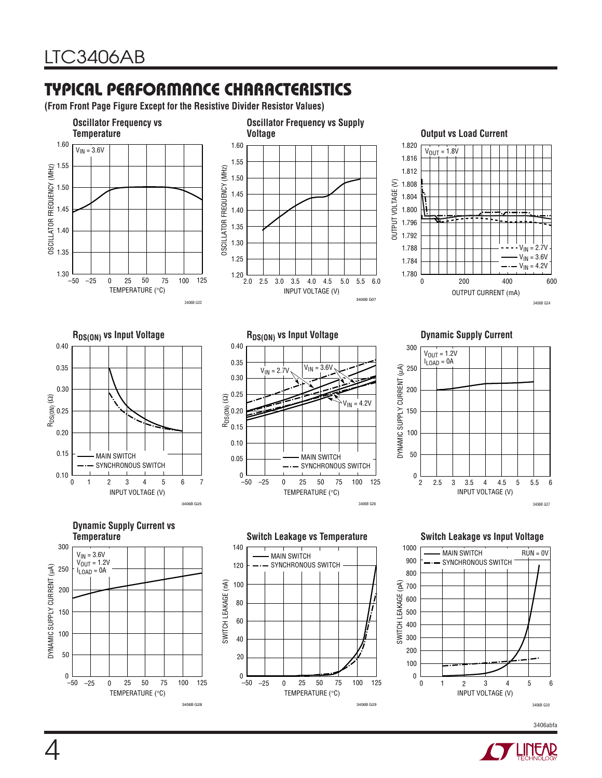### **TYPICAL PERFORMANCE CHARACTERISTICS**

**(From Front Page Figure Except for the Resistive Divider Resistor Values)**

3406B G28



3406B G29

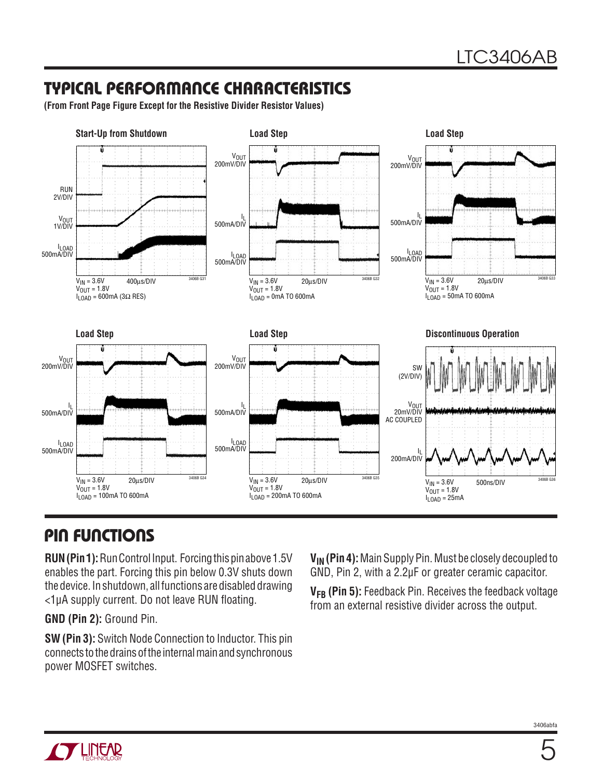### **TYPICAL PERFORMANCE CHARACTERISTICS**

**(From Front Page Figure Except for the Resistive Divider Resistor Values)**



### **PIN FUNCTIONS**

**RUN (Pin 1):** Run Control Input. Forcing this pin above 1.5V enables the part. Forcing this pin below 0.3V shuts down the device. In shutdown, all functions are disabled drawing  $<$ 1µA supply current. Do not leave RUN floating.

**GND (Pin 2):** Ground Pin.

**SW (Pin 3):** Switch Node Connection to Inductor. This pin connects to the drains of the internal main and synchronous power MOSFET switches.

**VIN (Pin 4):** Main Supply Pin. Must be closely decoupled to GND, Pin 2, with a 2.2μF or greater ceramic capacitor.

**VFB (Pin 5):** Feedback Pin. Receives the feedback voltage from an external resistive divider across the output.



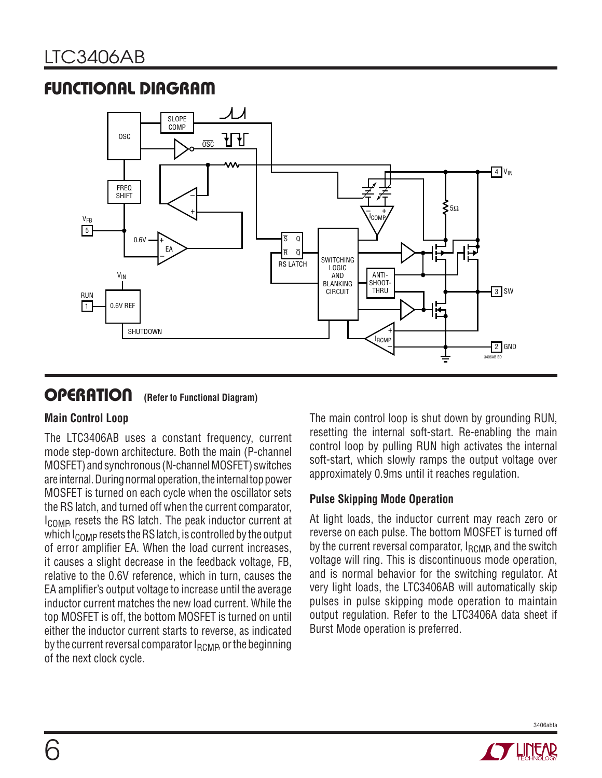### **FUNCTIONAL DIAGRAM**



### **OPERATION (Refer to Functional Diagram)**

#### **Main Control Loop**

The LTC3406AB uses a constant frequency, current mode step-down architecture. Both the main (P-channel MOSFET) and synchronous (N-channel MOSFET) switches are internal. During normal operation, the internal top power MOSFET is turned on each cycle when the oscillator sets the RS latch, and turned off when the current comparator, I<sub>COMP</sub>, resets the RS latch. The peak inductor current at which  $I_{\text{COMP}}$  resets the RS latch, is controlled by the output of error amplifier EA. When the load current increases, it causes a slight decrease in the feedback voltage, FB, relative to the 0.6V reference, which in turn, causes the EA amplifier's output voltage to increase until the average inductor current matches the new load current. While the top MOSFET is off, the bottom MOSFET is turned on until either the inductor current starts to reverse, as indicated by the current reversal comparator  $I_{RCMP}$ , or the beginning of the next clock cycle.

The main control loop is shut down by grounding RUN, resetting the internal soft-start. Re-enabling the main control loop by pulling RUN high activates the internal soft-start, which slowly ramps the output voltage over approximately 0.9ms until it reaches regulation.

#### **Pulse Skipping Mode Operation**

At light loads, the inductor current may reach zero or reverse on each pulse. The bottom MOSFET is turned off by the current reversal comparator,  $I_{RCMB}$  and the switch voltage will ring. This is discontinuous mode operation, and is normal behavior for the switching regulator. At very light loads, the LTC3406AB will automatically skip pulses in pulse skipping mode operation to maintain output regulation. Refer to the LTC3406A data sheet if Burst Mode operation is preferred.



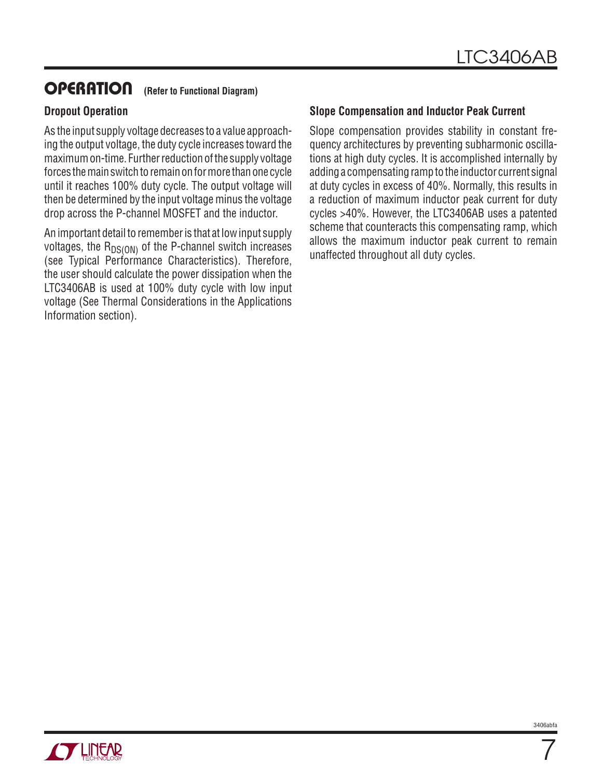### **OPERATION (Refer to Functional Diagram)**

#### **Dropout Operation**

As the input supply voltage decreases to a value approaching the output voltage, the duty cycle increases toward the maximum on-time. Further reduction of the supply voltage forces the main switch to remain on for more than one cycle until it reaches 100% duty cycle. The output voltage will then be determined by the input voltage minus the voltage drop across the P-channel MOSFET and the inductor.

An important detail to remember is that at low input supply voltages, the  $R_{DS(ON)}$  of the P-channel switch increases (see Typical Performance Characteristics). Therefore, the user should calculate the power dissipation when the LTC3406AB is used at 100% duty cycle with low input voltage (See Thermal Considerations in the Applications Information section).

#### **Slope Compensation and Inductor Peak Current**

Slope compensation provides stability in constant frequency architectures by preventing subharmonic oscillations at high duty cycles. It is accomplished internally by adding a compensating ramp to the inductor current signal at duty cycles in excess of 40%. Normally, this results in a reduction of maximum inductor peak current for duty cycles >40%. However, the LTC3406AB uses a patented scheme that counteracts this compensating ramp, which allows the maximum inductor peak current to remain unaffected throughout all duty cycles.



7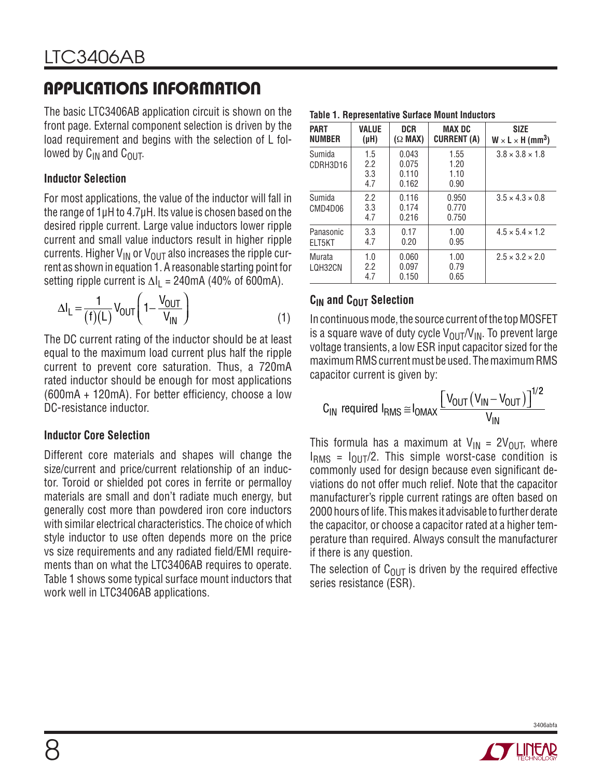The basic LTC3406AB application circuit is shown on the front page. External component selection is driven by the load requirement and begins with the selection of L followed by  $C_{IN}$  and  $C_{OIII}$ .

#### **Inductor Selection**

For most applications, the value of the inductor will fall in the range of 1μH to 4.7μH. Its value is chosen based on the desired ripple current. Large value inductors lower ripple current and small value inductors result in higher ripple currents. Higher  $V_{IN}$  or  $V_{OUT}$  also increases the ripple current as shown in equation 1. A reasonable starting point for setting ripple current is  $\Delta I_1 = 240 \text{mA}$  (40% of 600mA).

$$
\Delta I_{L} = \frac{1}{(f)(L)} V_{OUT} \left( 1 - \frac{V_{OUT}}{V_{IN}} \right)
$$
 (1)

The DC current rating of the inductor should be at least equal to the maximum load current plus half the ripple current to prevent core saturation. Thus, a 720mA rated inductor should be enough for most applications  $(600mA + 120mA)$ . For better efficiency, choose a low DC-resistance inductor.

#### **Inductor Core Selection**

Different core materials and shapes will change the size/current and price/current relationship of an inductor. Toroid or shielded pot cores in ferrite or permalloy materials are small and don't radiate much energy, but generally cost more than powdered iron core inductors with similar electrical characteristics. The choice of which style inductor to use often depends more on the price vs size requirements and any radiated field/EMI requirements than on what the LTC3406AB requires to operate. Table 1 shows some typical surface mount inductors that work well in LTC3406AB applications.

| <b>PART</b><br><b>NUMBER</b> | <b>VALUE</b><br>(µH)     | <b>DCR</b><br>$(\Omega$ MAX)     | <b>MAX DC</b><br><b>CURRENT (A)</b> | <b>SIZE</b><br>$W \times L \times H$ (mm <sup>3</sup> ) |
|------------------------------|--------------------------|----------------------------------|-------------------------------------|---------------------------------------------------------|
| Sumida<br>CDRH3D16           | 1.5<br>2.2<br>3.3<br>4.7 | 0.043<br>0.075<br>0.110<br>0.162 | 1.55<br>1.20<br>1.10<br>0.90        | $3.8 \times 3.8 \times 1.8$                             |
| Sumida<br>CMD4D06            | 2.2<br>3.3<br>4.7        | 0.116<br>0.174<br>0.216          | 0.950<br>0.770<br>0.750             | $3.5 \times 4.3 \times 0.8$                             |
| Panasonic<br>ELT5KT          | 3.3<br>4.7               | 0.17<br>0.20                     | 1.00<br>0.95                        | $4.5 \times 5.4 \times 1.2$                             |
| Murata<br>LQH32CN            | 1.0<br>2.2<br>4.7        | 0.060<br>0.097<br>0.150          | 1.00<br>0.79<br>0.65                | $2.5 \times 3.2 \times 2.0$                             |

**Table 1. Representative Surface Mount Inductors**

### **C<sub>IN</sub>** and C<sub>OUT</sub> Selection

In continuous mode, the source current of the top MOSFET is a square wave of duty cycle  $V_{\text{OUT}}/V_{\text{IN}}$ . To prevent large voltage transients, a low ESR input capacitor sized for the maximum RMS current must be used. The maximum RMS capacitor current is given by:

$$
C_{IN} \text{ required } I_{RMS} \cong I_{OMAX} \frac{\left[V_{OUT} \left(V_{IN} - V_{OUT}\right)\right]^{1/2}}{V_{IN}}
$$

This formula has a maximum at  $V_{IN} = 2V_{OUT}$ , where  $I<sub>RMS</sub> = I<sub>OUT</sub>/2$ . This simple worst-case condition is commonly used for design because even significant deviations do not offer much relief. Note that the capacitor manufacturer's ripple current ratings are often based on 2000 hours of life. This makes it advisable to further derate the capacitor, or choose a capacitor rated at a higher temperature than required. Always consult the manufacturer if there is any question.

The selection of  $C_{\text{OUT}}$  is driven by the required effective series resistance (ESR).

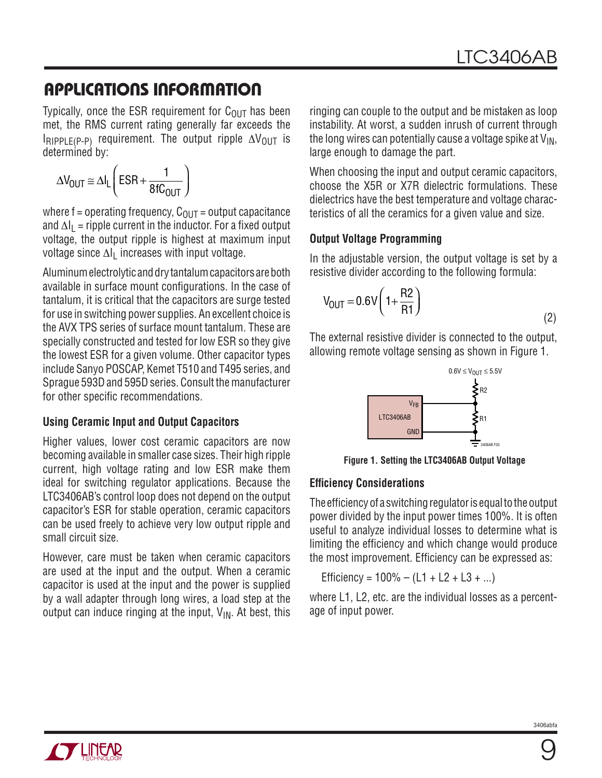Typically, once the ESR requirement for  $C_{\text{OUT}}$  has been met, the RMS current rating generally far exceeds the  $I_{RIPPLE(P-P)}$  requirement. The output ripple  $\Delta V_{OUT}$  is determined by:

$$
\Delta V_{OUT} \cong \Delta I_L \left( ESR + \frac{1}{8fC_{OUT}} \right)
$$

where f = operating frequency,  $C_{\text{OUT}}$  = output capacitance and  $\Delta I_L$  = ripple current in the inductor. For a fixed output voltage, the output ripple is highest at maximum input voltage since  $\Delta I_1$  increases with input voltage.

Aluminum electrolytic and dry tantalum capacitors are both available in surface mount configurations. In the case of tantalum, it is critical that the capacitors are surge tested for use in switching power supplies. An excellent choice is the AVX TPS series of surface mount tantalum. These are specially constructed and tested for low ESR so they give the lowest ESR for a given volume. Other capacitor types include Sanyo POSCAP, Kemet T510 and T495 series, and Sprague 593D and 595D series. Consult the manufacturer for other specific recommendations.

#### **Using Ceramic Input and Output Capacitors**

Higher values, lower cost ceramic capacitors are now becoming available in smaller case sizes. Their high ripple current, high voltage rating and low ESR make them ideal for switching regulator applications. Because the LTC3406AB's control loop does not depend on the output capacitor's ESR for stable operation, ceramic capacitors can be used freely to achieve very low output ripple and small circuit size.

However, care must be taken when ceramic capacitors are used at the input and the output. When a ceramic capacitor is used at the input and the power is supplied by a wall adapter through long wires, a load step at the output can induce ringing at the input,  $V_{IN}$ . At best, this

ringing can couple to the output and be mistaken as loop instability. At worst, a sudden inrush of current through the long wires can potentially cause a voltage spike at  $V_{IN}$ , large enough to damage the part.

When choosing the input and output ceramic capacitors, choose the X5R or X7R dielectric formulations. These dielectrics have the best temperature and voltage characteristics of all the ceramics for a given value and size.

### **Output Voltage Programming**

In the adjustable version, the output voltage is set by a resistive divider according to the following formula:

$$
V_{\text{OUT}} = 0.6V \left( 1 + \frac{R2}{R1} \right) \tag{2}
$$

The external resistive divider is connected to the output, allowing remote voltage sensing as shown in Figure 1.



**Figure 1. Setting the LTC3406AB Output Voltage**

#### **Efficiency Considerations**

The efficiency of a switching regulator is equal to the output power divided by the input power times 100%. It is often useful to analyze individual losses to determine what is limiting the efficiency and which change would produce the most improvement. Efficiency can be expressed as:

Efficiency =  $100\% - (L1 + L2 + L3 + ...)$ 

where L1, L2, etc. are the individual losses as a percentage of input power.

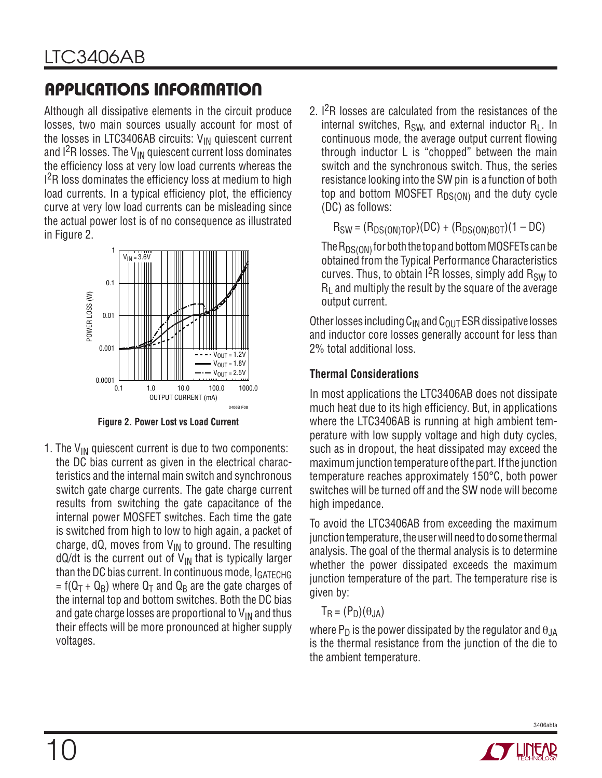Although all dissipative elements in the circuit produce losses, two main sources usually account for most of the losses in LTC3406AB circuits:  $V_{IN}$  quiescent current and  $1^2$ R losses. The V<sub>IN</sub> quiescent current loss dominates the efficiency loss at very low load currents whereas the  $l^2$ R loss dominates the efficiency loss at medium to high load currents. In a typical efficiency plot, the efficiency curve at very low load currents can be misleading since the actual power lost is of no consequence as illustrated in Figure 2.



**Figure 2. Power Lost vs Load Current**

1. The  $V_{IN}$  quiescent current is due to two components: the DC bias current as given in the electrical characteristics and the internal main switch and synchronous switch gate charge currents. The gate charge current results from switching the gate capacitance of the internal power MOSFET switches. Each time the gate is switched from high to low to high again, a packet of charge, dQ, moves from  $V_{IN}$  to ground. The resulting  $dQ/dt$  is the current out of  $V_{IN}$  that is typically larger than the DC bias current. In continuous mode,  $I_{GATFCHG}$ = f( $Q_T$  +  $Q_B$ ) where  $Q_T$  and  $Q_B$  are the gate charges of the internal top and bottom switches. Both the DC bias and gate charge losses are proportional to  $V_{IN}$  and thus their effects will be more pronounced at higher supply voltages.

2.  $1^{2}R$  losses are calculated from the resistances of the internal switches,  $R_{SW}$ , and external inductor  $R_1$ . In continuous mode, the average output current flowing through inductor L is "chopped" between the main switch and the synchronous switch. Thus, the series resistance looking into the SW pin is a function of both top and bottom MOSFET  $R_{DS(ON)}$  and the duty cycle (DC) as follows:

 $R_{SW} = (R_{DS(ON)TOP})(DC) + (R_{DS(ON)BOT})(1 - DC)$ 

The  $R_{DS(ON)}$  for both the top and bottom MOSFETs can be obtained from the Typical Performance Characteristics curves. Thus, to obtain  $1^2R$  losses, simply add  $R_{SW}$  to  $R<sub>l</sub>$  and multiply the result by the square of the average output current.

Other losses including  $C_{IN}$  and  $C_{OUT}$  ESR dissipative losses and inductor core losses generally account for less than 2% total additional loss.

### **Thermal Considerations**

In most applications the LTC3406AB does not dissipate much heat due to its high efficiency. But, in applications where the LTC3406AB is running at high ambient temperature with low supply voltage and high duty cycles, such as in dropout, the heat dissipated may exceed the maximum junction temperature of the part. If the junction temperature reaches approximately 150°C, both power switches will be turned off and the SW node will become high impedance.

To avoid the LTC3406AB from exceeding the maximum junction temperature, the user will need to do some thermal analysis. The goal of the thermal analysis is to determine whether the power dissipated exceeds the maximum junction temperature of the part. The temperature rise is given by:

$$
T_R = (P_D)(\theta_{JA})
$$

where  $P_D$  is the power dissipated by the regulator and  $\theta_{JA}$ is the thermal resistance from the junction of the die to the ambient temperature.



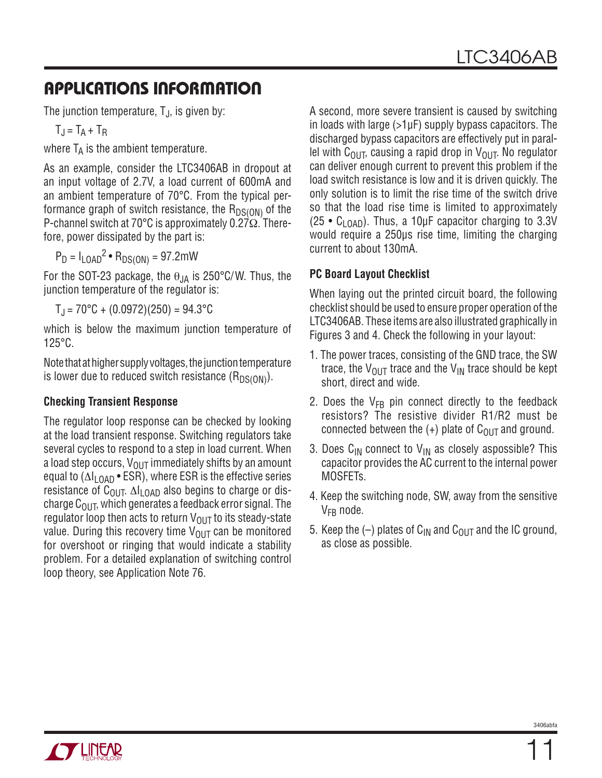The junction temperature,  $T_{J}$ , is given by:

 $T_J = T_A + T_B$ 

where  $T_A$  is the ambient temperature.

As an example, consider the LTC3406AB in dropout at an input voltage of 2.7V, a load current of 600mA and an ambient temperature of 70°C. From the typical performance graph of switch resistance, the  $R_{DS(ON)}$  of the P-channel switch at 70°C is approximately 0.27Ω. Therefore, power dissipated by the part is:

 $P_D = I_{LOAD}^2 \cdot R_{DS(ON)} = 97.2 \text{mW}$ 

For the SOT-23 package, the  $\theta_{JA}$  is 250°C/W. Thus, the junction temperature of the regulator is:

 $T_{\text{J}} = 70^{\circ}$ C + (0.0972)(250) = 94.3 $^{\circ}$ C

which is below the maximum junction temperature of 125°C.

Note that at higher supply voltages, the junction temperature is lower due to reduced switch resistance  $(R_{DS(ON)})$ .

#### **Checking Transient Response**

The regulator loop response can be checked by looking at the load transient response. Switching regulators take several cycles to respond to a step in load current. When a load step occurs,  $V_{\text{OUT}}$  immediately shifts by an amount equal to  $(\Delta I_{\text{LOAD}} \cdot \text{ESR})$ , where ESR is the effective series resistance of  $C_{\text{OUT}}$ .  $\Delta I_{\text{LOAD}}$  also begins to charge or discharge  $C<sub>OUT</sub>$ , which generates a feedback error signal. The regulator loop then acts to return  $V_{\text{OUT}}$  to its steady-state value. During this recovery time  $V_{OUT}$  can be monitored for overshoot or ringing that would indicate a stability problem. For a detailed explanation of switching control loop theory, see Application Note 76.

A second, more severe transient is caused by switching in loads with large (>1μF) supply bypass capacitors. The discharged bypass capacitors are effectively put in parallel with C<sub>OUT</sub>, causing a rapid drop in V<sub>OUT</sub>. No regulator can deliver enough current to prevent this problem if the load switch resistance is low and it is driven quickly. The only solution is to limit the rise time of the switch drive so that the load rise time is limited to approximately (25 •  $C_{1OAD}$ ). Thus, a 10µF capacitor charging to 3.3V would require a 250μs rise time, limiting the charging current to about 130mA.

#### **PC Board Layout Checklist**

When laying out the printed circuit board, the following checklist should be used to ensure proper operation of the LTC3406AB. These items are also illustrated graphically in Figures 3 and 4. Check the following in your layout:

- 1. The power traces, consisting of the GND trace, the SW trace, the  $V_{\text{OUT}}$  trace and the  $V_{\text{IN}}$  trace should be kept short, direct and wide.
- 2. Does the  $V_{FB}$  pin connect directly to the feedback resistors? The resistive divider R1/R2 must be connected between the  $(+)$  plate of C<sub>OUT</sub> and ground.
- 3. Does  $C_{IN}$  connect to  $V_{IN}$  as closely aspossible? This capacitor provides the AC current to the internal power MOSFETs.
- 4. Keep the switching node, SW, away from the sensitive  $V_{FR}$  node.
- 5. Keep the  $(-)$  plates of C<sub>IN</sub> and C<sub>OUT</sub> and the IC ground, as close as possible.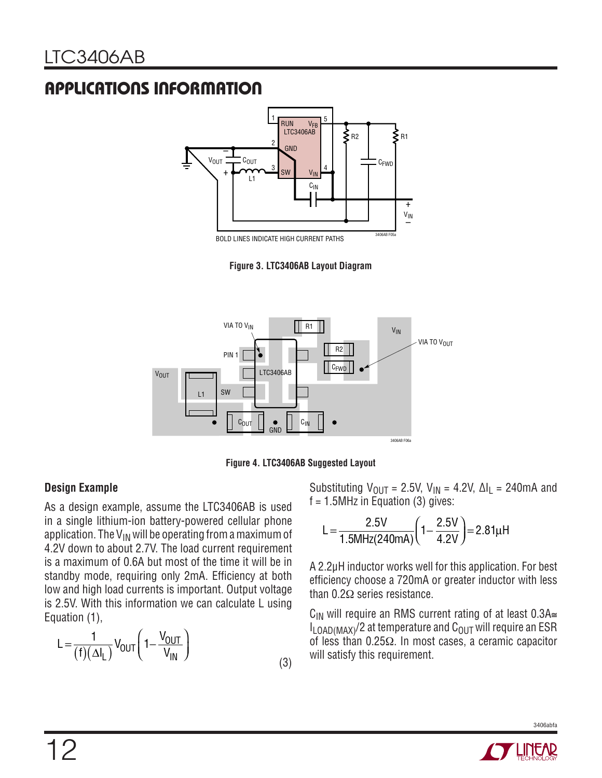

BOLD LINES INDICATE HIGH CURRENT PATHS

**Figure 3. LTC3406AB Layout Diagram**





#### **Design Example**

As a design example, assume the LTC3406AB is used in a single lithium-ion battery-powered cellular phone application. The  $V_{IN}$  will be operating from a maximum of 4.2V down to about 2.7V. The load current requirement is a maximum of 0.6A but most of the time it will be in standby mode, requiring only 2mA. Efficiency at both low and high load currents is important. Output voltage is 2.5V. With this information we can calculate L using Equation (1),

$$
L = \frac{1}{(f)(\Delta I_L)} V_{OUT} \left( 1 - \frac{V_{OUT}}{V_{IN}} \right)
$$
 (3)

Substituting  $V_{\text{OUT}} = 2.5V$ ,  $V_{\text{IN}} = 4.2V$ ,  $\Delta I_L = 240 \text{ mA}$  and  $f = 1.5$ MHz in Equation (3) gives:

$$
L = \frac{2.5V}{1.5MHz(240mA)} \left(1 - \frac{2.5V}{4.2V}\right) = 2.81\mu H
$$

A 2.2μH inductor works well for this application. For best efficiency choose a 720mA or greater inductor with less than 0.2Ω series resistance.

C<sub>IN</sub> will require an RMS current rating of at least 0.3A≅  $I_{\text{LOAD}(MAX)}$ /2 at temperature and  $C_{\text{OUT}}$  will require an ESR of less than 0.25Ω. In most cases, a ceramic capacitor will satisfy this requirement.

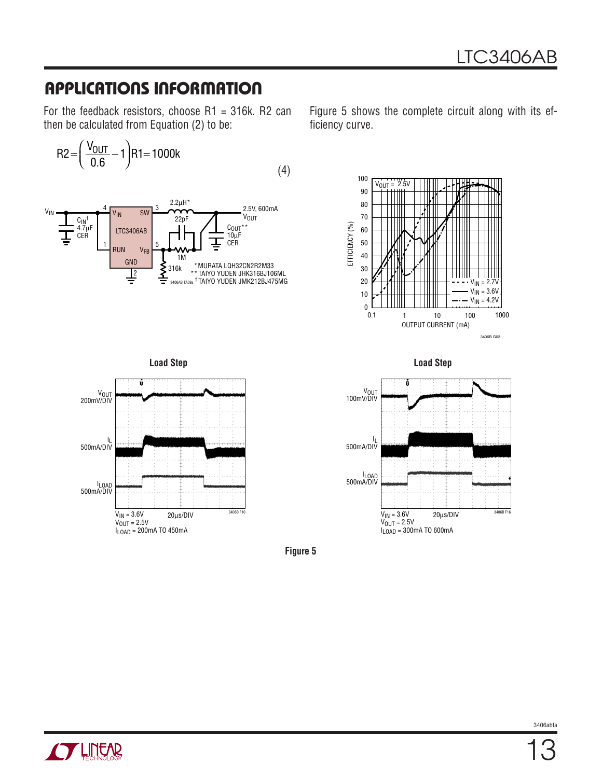For the feedback resistors, choose  $R1 = 316k$ . R2 can then be calculated from Equation (2) to be:

$$
R2 = \left(\frac{V_{OUT}}{0.6} - 1\right)R1 = 1000k\tag{4}
$$



Figure 5 shows the complete circuit along with its efficiency curve.









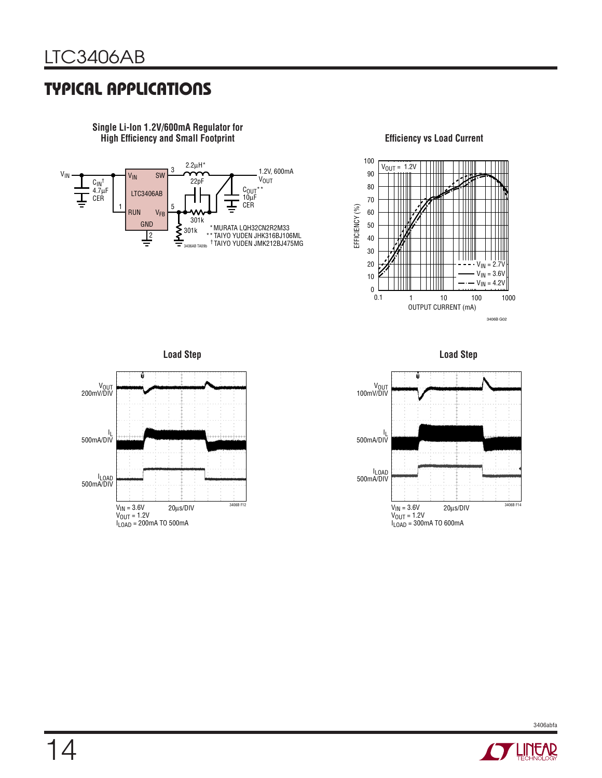### **TYPICAL APPLICATIONS**



**Single Li-Ion 1.2V/600mA Regulator for High Efficiency and Small Footprint** 



#### **Efficiency vs Load Current**

**Load Step**







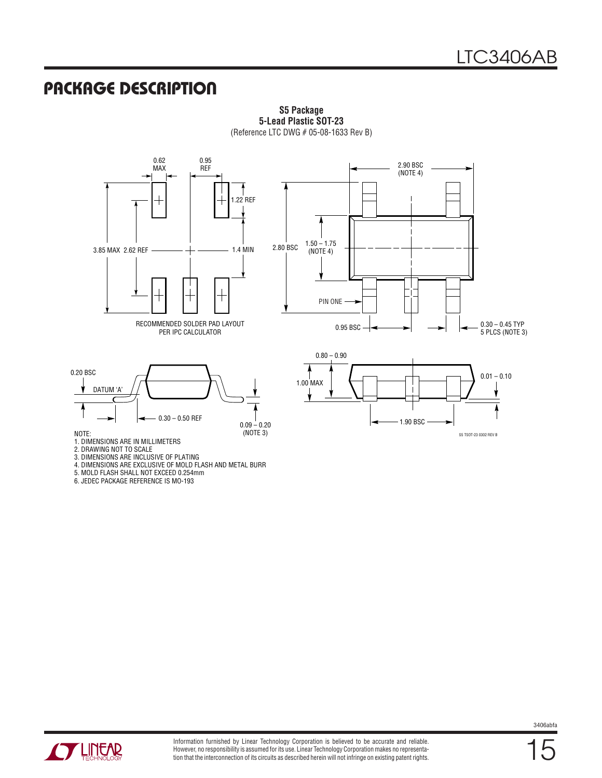S5 TSOT-23 0302 REV B

1.90 BSC

### **PACKAGE DESCRIPTION**



**S5 Package 5-Lead Plastic SOT-23** (Reference LTC DWG # 05-08-1633 Rev B)

DATUM 'A'  $0.09 - 0.20$ <br>(NOTE 3) 0.30 – 0.50 REF

NOTE:

1. DIMENSIONS ARE IN MILLIMETERS

2. DRAWING NOT TO SCALE

3. DIMENSIONS ARE INCLUSIVE OF PLATING

4. DIMENSIONS ARE EXCLUSIVE OF MOLD FLASH AND METAL BURR

5. MOLD FLASH SHALL NOT EXCEED 0.254mm

6. JEDEC PACKAGE REFERENCE IS MO-193